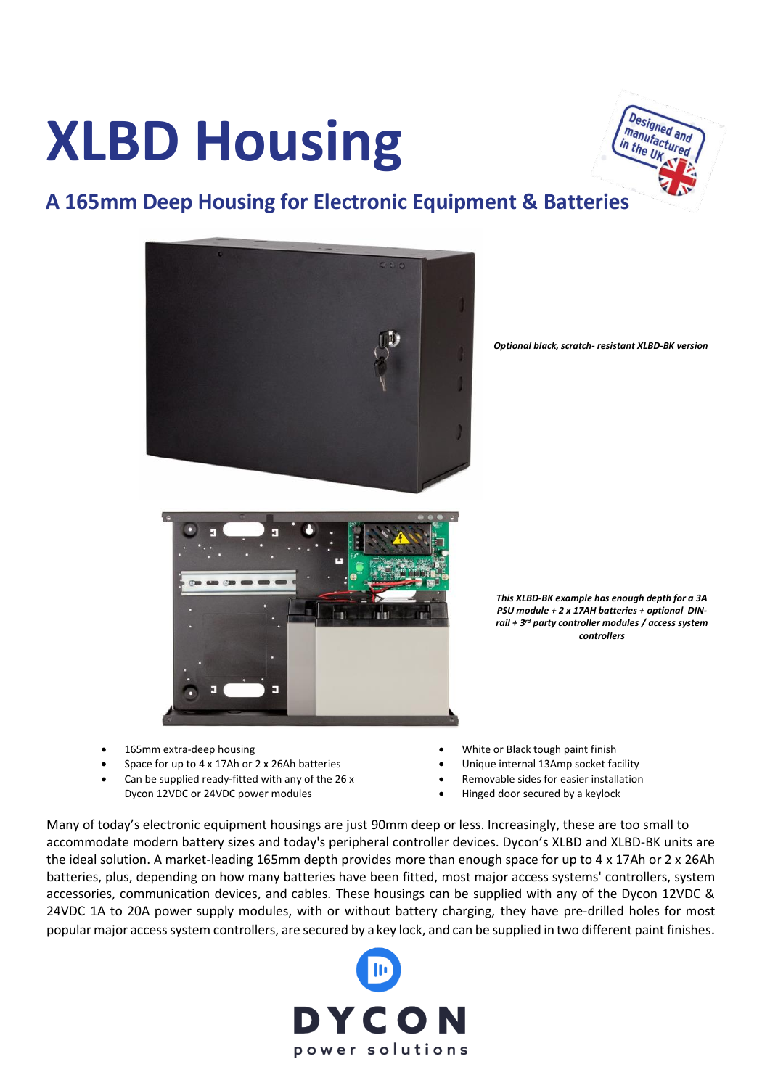# **XLBD Housing**



#### **A 165mm Deep Housing for Electronic Equipment & Batteries**



*Optional black, scratch- resistant XLBD-BK version*



*This XLBD-BK example has enough depth for a 3A PSU module + 2 x 17AH batteries + optional DINrail + 3rd party controller modules / access system controllers*

- 165mm extra-deep housing
- Space for up to 4 x 17Ah or 2 x 26Ah batteries
- Can be supplied ready-fitted with any of the 26 x Dycon 12VDC or 24VDC power modules
- White or Black tough paint finish
- Unique internal 13Amp socket facility
- Removable sides for easier installation
- Hinged door secured by a keylock

Many of today's electronic equipment housings are just 90mm deep or less. Increasingly, these are too small to accommodate modern battery sizes and today's peripheral controller devices. Dycon's XLBD and XLBD-BK units are the ideal solution. A market-leading 165mm depth provides more than enough space for up to 4 x 17Ah or 2 x 26Ah batteries, plus, depending on how many batteries have been fitted, most major access systems' controllers, system accessories, communication devices, and cables. These housings can be supplied with any of the Dycon 12VDC & 24VDC 1A to 20A power supply modules, with or without battery charging, they have pre-drilled holes for most popular major access system controllers, are secured by a key lock, and can be supplied in two different paint finishes.

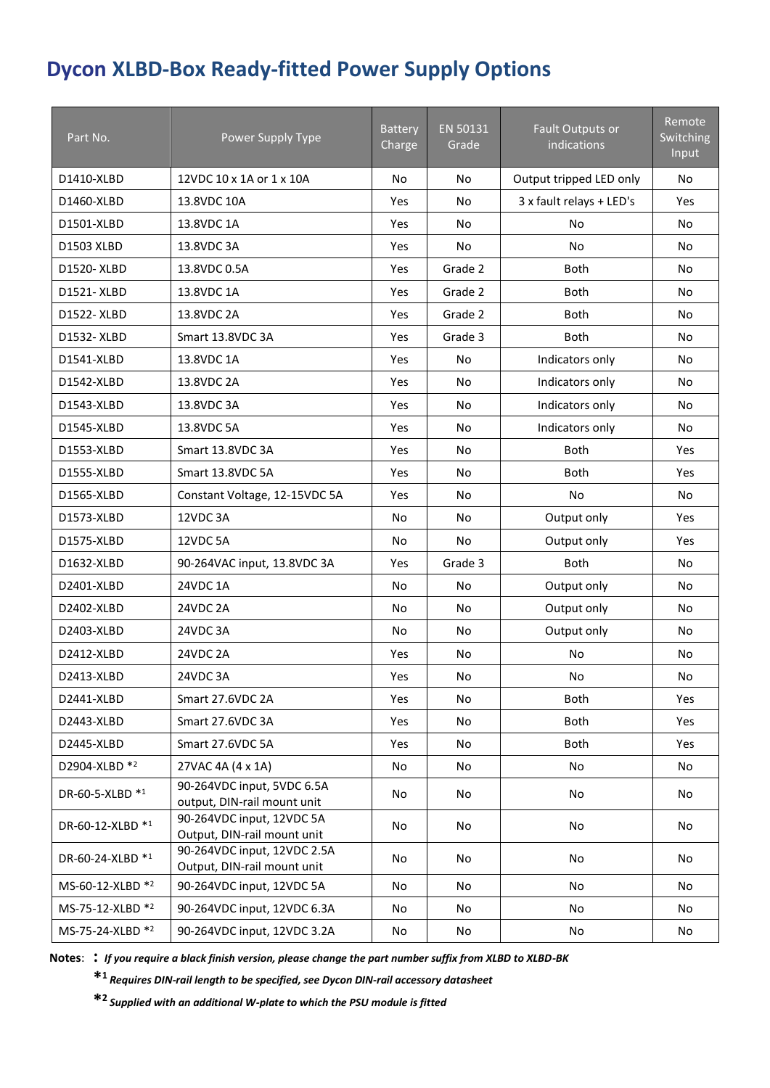### **Dycon XLBD-Box Ready-fitted Power Supply Options**

| Part No.         | Power Supply Type                                          | <b>Battery</b><br>Charge | EN 50131<br>Grade | Fault Outputs or<br>indications | Remote<br>Switching<br><b>Input</b> |
|------------------|------------------------------------------------------------|--------------------------|-------------------|---------------------------------|-------------------------------------|
| D1410-XLBD       | 12VDC 10 x 1A or 1 x 10A                                   | <b>No</b>                | No                | Output tripped LED only         | <b>No</b>                           |
| D1460-XLBD       | 13.8VDC 10A                                                | Yes                      | No                | 3 x fault relays + LED's        | <b>Yes</b>                          |
| D1501-XLBD       | 13.8VDC 1A                                                 | Yes                      | No                | No                              | No                                  |
| D1503 XLBD       | 13.8VDC 3A                                                 | Yes                      | No                | <b>No</b>                       | No                                  |
| D1520-XLBD       | 13.8VDC 0.5A                                               | Yes                      | Grade 2           | <b>Both</b>                     | No                                  |
| D1521-XLBD       | 13.8VDC 1A                                                 | Yes                      | Grade 2           | <b>Both</b>                     | No                                  |
| D1522-XLBD       | 13.8VDC 2A                                                 | Yes                      | Grade 2           | <b>Both</b>                     | <b>No</b>                           |
| D1532-XLBD       | Smart 13.8VDC 3A                                           | Yes                      | Grade 3           | <b>Both</b>                     | <b>No</b>                           |
| D1541-XLBD       | 13.8VDC 1A                                                 | Yes                      | <b>No</b>         | Indicators only                 | <b>No</b>                           |
| D1542-XLBD       | 13.8VDC 2A                                                 | Yes                      | No                | Indicators only                 | No                                  |
| D1543-XLBD       | 13.8VDC 3A                                                 | Yes                      | No                | Indicators only                 | <b>No</b>                           |
| D1545-XLBD       | 13.8VDC 5A                                                 | Yes                      | No                | Indicators only                 | <b>No</b>                           |
| D1553-XLBD       | Smart 13.8VDC 3A                                           | Yes                      | No                | <b>Both</b>                     | Yes                                 |
| D1555-XLBD       | Smart 13.8VDC 5A                                           | <b>Yes</b>               | No                | <b>Both</b>                     | Yes                                 |
| D1565-XLBD       | Constant Voltage, 12-15VDC 5A                              | Yes                      | No                | No                              | <b>No</b>                           |
| D1573-XLBD       | 12VDC3A                                                    | No                       | No                | Output only                     | Yes                                 |
| D1575-XLBD       | 12VDC 5A                                                   | No                       | <b>No</b>         | Output only                     | Yes                                 |
| D1632-XLBD       | 90-264VAC input, 13.8VDC 3A                                | Yes                      | Grade 3           | <b>Both</b>                     | <b>No</b>                           |
| D2401-XLBD       | 24VDC 1A                                                   | No                       | No                | Output only                     | <b>No</b>                           |
| D2402-XLBD       | 24VDC 2A                                                   | No                       | No                | Output only                     | <b>No</b>                           |
| D2403-XLBD       | 24VDC3A                                                    | No                       | No                | Output only                     | <b>No</b>                           |
| D2412-XLBD       | 24VDC 2A                                                   | Yes                      | No                | <b>No</b>                       | No                                  |
| D2413-XLBD       | 24VDC3A                                                    | Yes                      | No                | No                              | No                                  |
| D2441-XLBD       | Smart 27.6VDC 2A                                           | Yes                      | No                | Both                            | Yes                                 |
| D2443-XLBD       | Smart 27.6VDC 3A                                           | Yes                      | No                | Both                            | Yes                                 |
| D2445-XLBD       | Smart 27.6VDC 5A                                           | Yes                      | No                | Both                            | Yes                                 |
| D2904-XLBD *2    | 27VAC 4A (4 x 1A)                                          | No                       | No                | <b>No</b>                       | No                                  |
| DR-60-5-XLBD *1  | 90-264VDC input, 5VDC 6.5A<br>output, DIN-rail mount unit  | No                       | No                | No                              | No                                  |
| DR-60-12-XLBD *1 | 90-264VDC input, 12VDC 5A<br>Output, DIN-rail mount unit   | No                       | No                | No                              | No                                  |
| DR-60-24-XLBD *1 | 90-264VDC input, 12VDC 2.5A<br>Output, DIN-rail mount unit | No                       | No                | No                              | No                                  |
| MS-60-12-XLBD *2 | 90-264VDC input, 12VDC 5A                                  | No                       | No                | No                              | No                                  |
| MS-75-12-XLBD *2 | 90-264VDC input, 12VDC 6.3A                                | No                       | No                | No                              | No                                  |
| MS-75-24-XLBD *2 | 90-264VDC input, 12VDC 3.2A                                | No                       | No                | No                              | No                                  |

**Notes**: **:** *If you require a black finish version, please change the part number suffix from XLBD to XLBD-BK*

**\* <sup>1</sup>***Requires DIN-rail length to be specified, see Dycon DIN-rail accessory datasheet*

**\* <sup>2</sup>***Supplied with an additional W-plate to which the PSU module is fitted*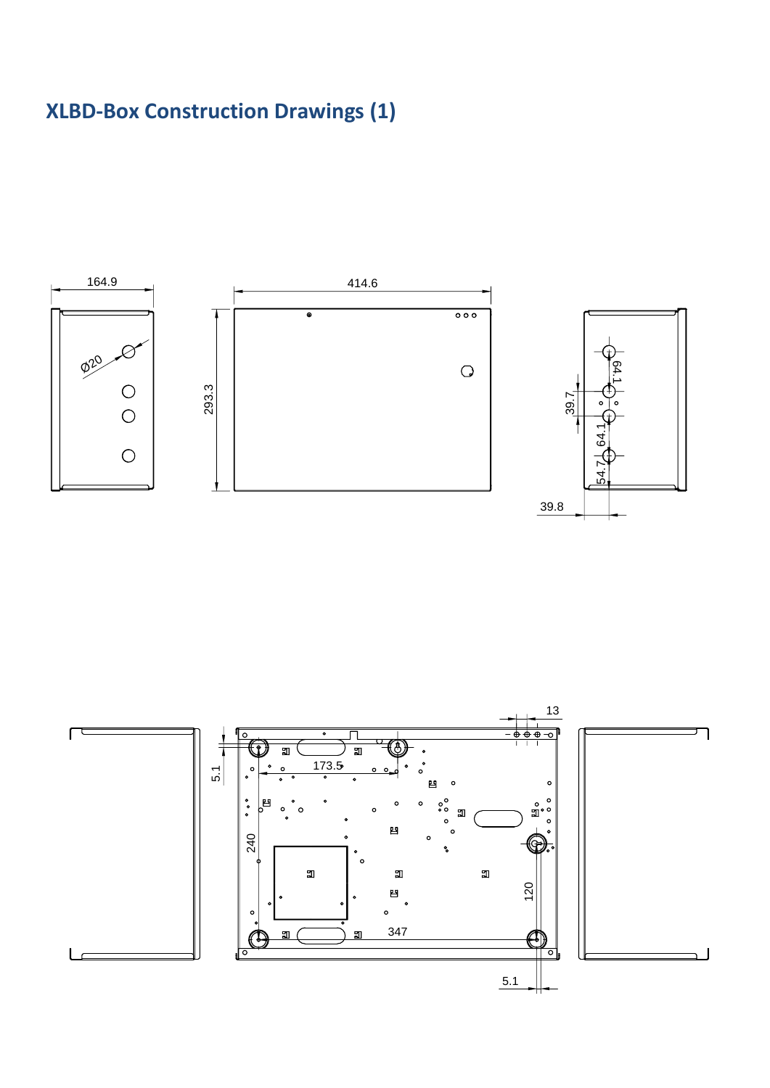## **XLBD-Box Construction Drawings (1)**



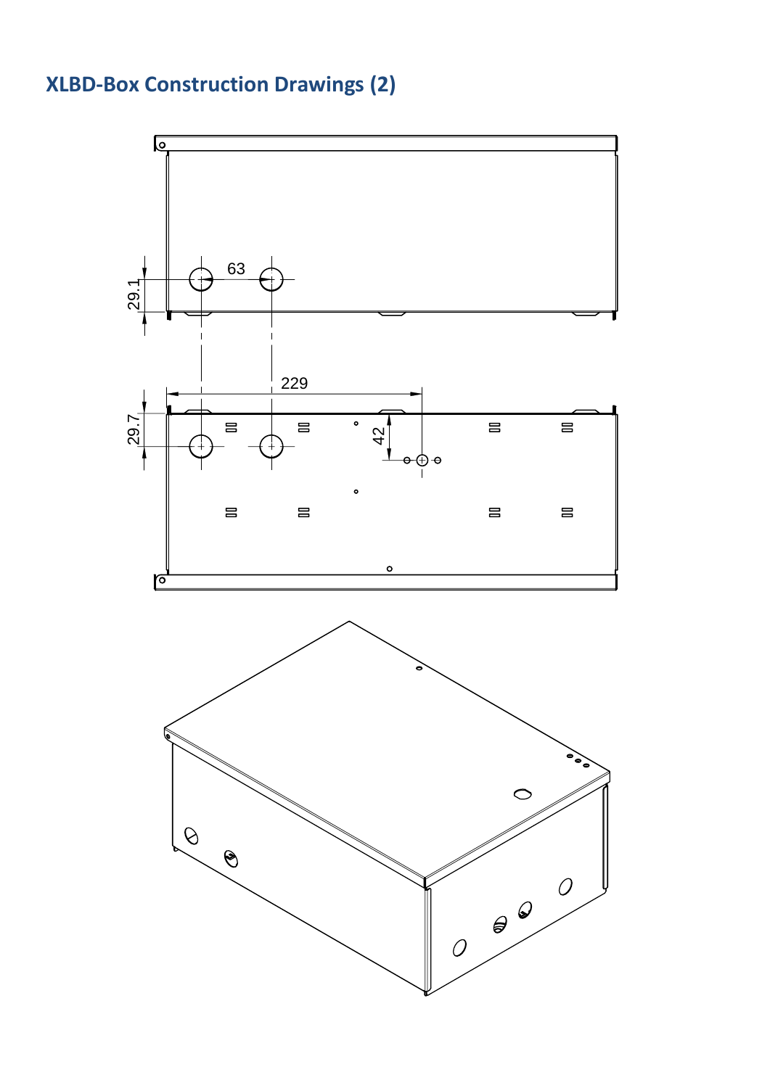# **XLBD-Box Construction Drawings (2)**